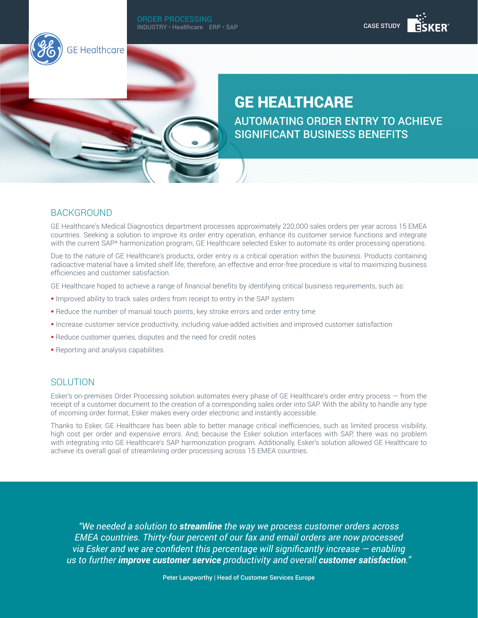#### ORDER PROCESSING INDUSTRY • Healthcare ERP • SAP





# GE HEALTHCARE

AUTOMATING ORDER ENTRY TO ACHIEVE SIGNIFICANT BUSINESS BENEFITS

## **BACKGROUND**

GE Healthcare's Medical Diagnostics department processes approximately 220,000 sales orders per year across 15 EMEA countries. Seeking a solution to improve its order entry operation, enhance its customer service functions and integrate with the current SAP® harmonization program, GE Healthcare selected Esker to automate its order processing operations.

Due to the nature of GE Healthcare's products, order entry is a critical operation within the business. Products containing radioactive material have a limited shelf life; therefore, an effective and error-free procedure is vital to maximizing business efficiencies and customer satisfaction.

GE Healthcare hoped to achieve a range of financial benefits by identifying critical business requirements, such as:

- **Improved ability to track sales orders from receipt to entry in the SAP system**
- § Reduce the number of manual touch points, key stroke errors and order entry time
- § Increase customer service productivity, including value-added activities and improved customer satisfaction
- § Reduce customer queries, disputes and the need for credit notes
- § Reporting and analysis capabilities

#### SOLUTION

Esker's on-premises Order Processing solution automates every phase of GE Healthcare's order entry process — from the receipt of a customer document to the creation of a corresponding sales order into SAP. With the ability to handle any type of incoming order format, Esker makes every order electronic and instantly accessible.

Thanks to Esker, GE Healthcare has been able to better manage critical inefficiencies, such as limited process visibility, high cost per order and expensive errors. And, because the Esker solution interfaces with SAP, there was no problem with integrating into GE Healthcare's SAP harmonization program. Additionally, Esker's solution allowed GE Healthcare to achieve its overall goal of streamlining order processing across 15 EMEA countries.

*"We needed a solution to streamline the way we process customer orders across EMEA countries. Thirty-four percent of our fax and email orders are now processed via Esker and we are confident this percentage will significantly increase — enabling us to further improve customer service productivity and overall customer satisfaction."*